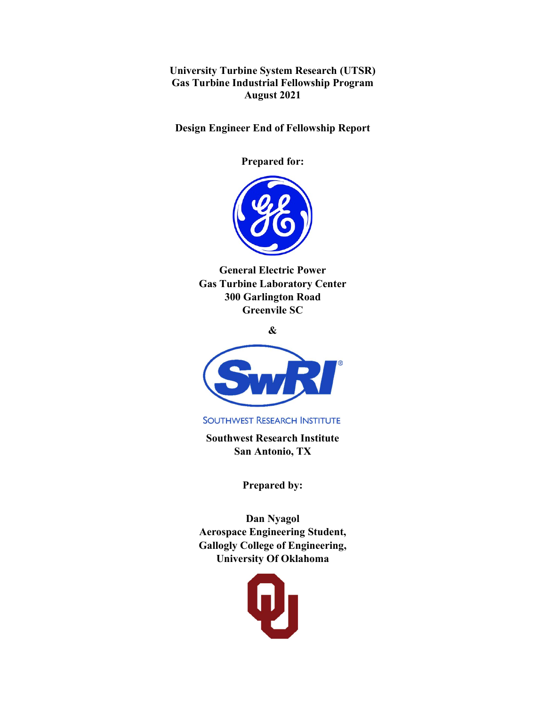University Turbine System Research (UTSR) Gas Turbine Industrial Fellowship Program August 2021

Design Engineer End of Fellowship Report

Prepared for:



General Electric Power Gas Turbine Laboratory Center 300 Garlington Road Greenvile SC

&



**SOUTHWEST RESEARCH INSTITUTE** 

Southwest Research Institute San Antonio, TX

Prepared by:

Dan Nyagol Aerospace Engineering Student, Gallogly College of Engineering, University Of Oklahoma

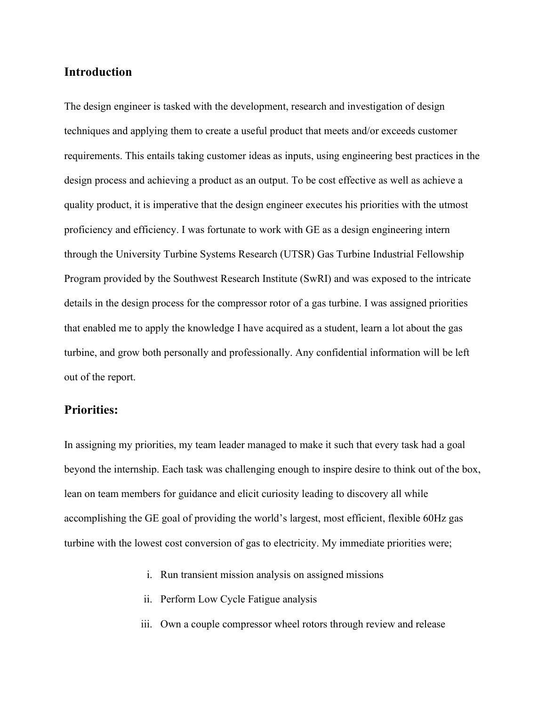# Introduction

The design engineer is tasked with the development, research and investigation of design techniques and applying them to create a useful product that meets and/or exceeds customer requirements. This entails taking customer ideas as inputs, using engineering best practices in the design process and achieving a product as an output. To be cost effective as well as achieve a quality product, it is imperative that the design engineer executes his priorities with the utmost proficiency and efficiency. I was fortunate to work with GE as a design engineering intern through the University Turbine Systems Research (UTSR) Gas Turbine Industrial Fellowship Program provided by the Southwest Research Institute (SwRI) and was exposed to the intricate details in the design process for the compressor rotor of a gas turbine. I was assigned priorities that enabled me to apply the knowledge I have acquired as a student, learn a lot about the gas turbine, and grow both personally and professionally. Any confidential information will be left out of the report.

## Priorities:

In assigning my priorities, my team leader managed to make it such that every task had a goal beyond the internship. Each task was challenging enough to inspire desire to think out of the box, lean on team members for guidance and elicit curiosity leading to discovery all while accomplishing the GE goal of providing the world's largest, most efficient, flexible 60Hz gas turbine with the lowest cost conversion of gas to electricity. My immediate priorities were;

- i. Run transient mission analysis on assigned missions
- ii. Perform Low Cycle Fatigue analysis
- iii. Own a couple compressor wheel rotors through review and release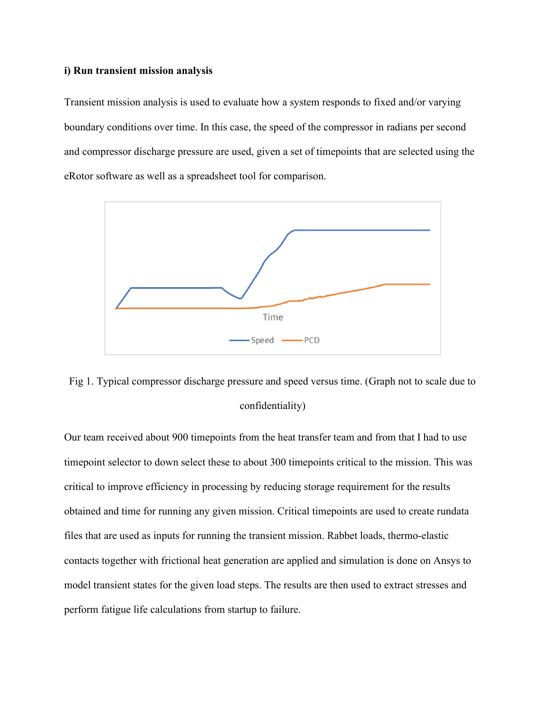#### i) Run transient mission analysis

Transient mission analysis is used to evaluate how a system responds to fixed and/or varying boundary conditions over time. In this case, the speed of the compressor in radians per second and compressor discharge pressure are used, given a set of timepoints that are selected using the eRotor software as well as a spreadsheet tool for comparison.





Our team received about 900 timepoints from the heat transfer team and from that I had to use timepoint selector to down select these to about 300 timepoints critical to the mission. This was critical to improve efficiency in processing by reducing storage requirement for the results obtained and time for running any given mission. Critical timepoints are used to create rundata files that are used as inputs for running the transient mission. Rabbet loads, thermo-elastic contacts together with frictional heat generation are applied and simulation is done on Ansys to model transient states for the given load steps. The results are then used to extract stresses and perform fatigue life calculations from startup to failure.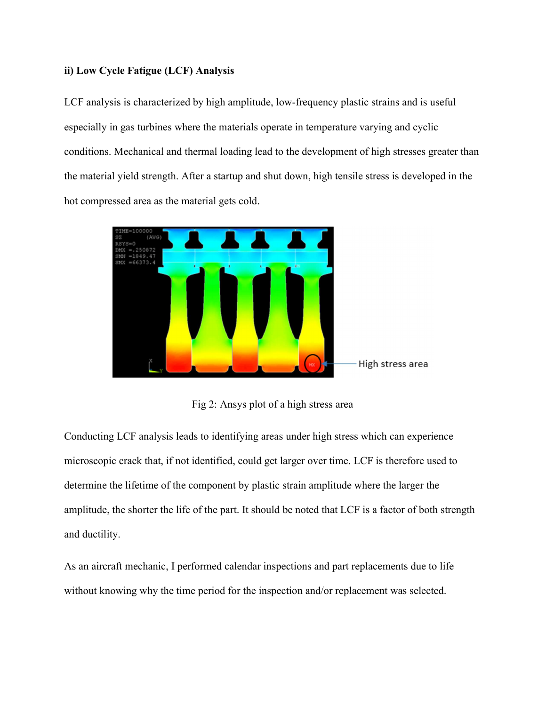### ii) Low Cycle Fatigue (LCF) Analysis

LCF analysis is characterized by high amplitude, low-frequency plastic strains and is useful especially in gas turbines where the materials operate in temperature varying and cyclic conditions. Mechanical and thermal loading lead to the development of high stresses greater than the material yield strength. After a startup and shut down, high tensile stress is developed in the hot compressed area as the material gets cold.



Fig 2: Ansys plot of a high stress area

Conducting LCF analysis leads to identifying areas under high stress which can experience microscopic crack that, if not identified, could get larger over time. LCF is therefore used to determine the lifetime of the component by plastic strain amplitude where the larger the amplitude, the shorter the life of the part. It should be noted that LCF is a factor of both strength and ductility.

As an aircraft mechanic, I performed calendar inspections and part replacements due to life without knowing why the time period for the inspection and/or replacement was selected.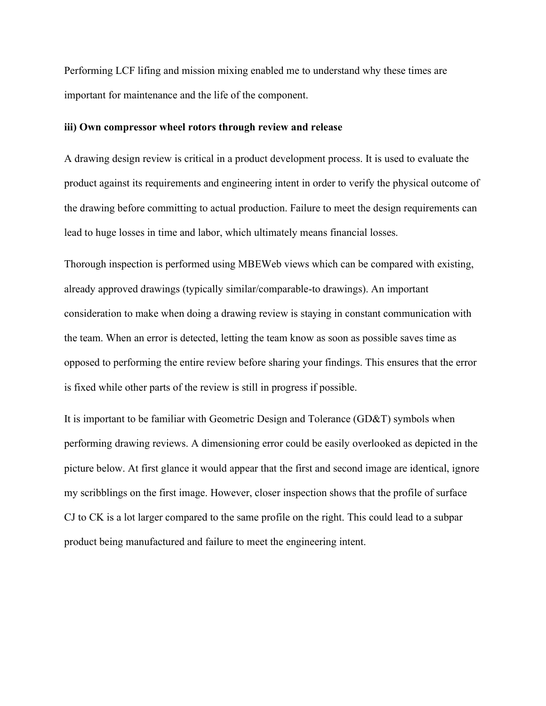Performing LCF lifing and mission mixing enabled me to understand why these times are important for maintenance and the life of the component.

#### iii) Own compressor wheel rotors through review and release

A drawing design review is critical in a product development process. It is used to evaluate the product against its requirements and engineering intent in order to verify the physical outcome of the drawing before committing to actual production. Failure to meet the design requirements can lead to huge losses in time and labor, which ultimately means financial losses.

Thorough inspection is performed using MBEWeb views which can be compared with existing, already approved drawings (typically similar/comparable-to drawings). An important consideration to make when doing a drawing review is staying in constant communication with the team. When an error is detected, letting the team know as soon as possible saves time as opposed to performing the entire review before sharing your findings. This ensures that the error is fixed while other parts of the review is still in progress if possible.

It is important to be familiar with Geometric Design and Tolerance (GD&T) symbols when performing drawing reviews. A dimensioning error could be easily overlooked as depicted in the picture below. At first glance it would appear that the first and second image are identical, ignore my scribblings on the first image. However, closer inspection shows that the profile of surface CJ to CK is a lot larger compared to the same profile on the right. This could lead to a subpar product being manufactured and failure to meet the engineering intent.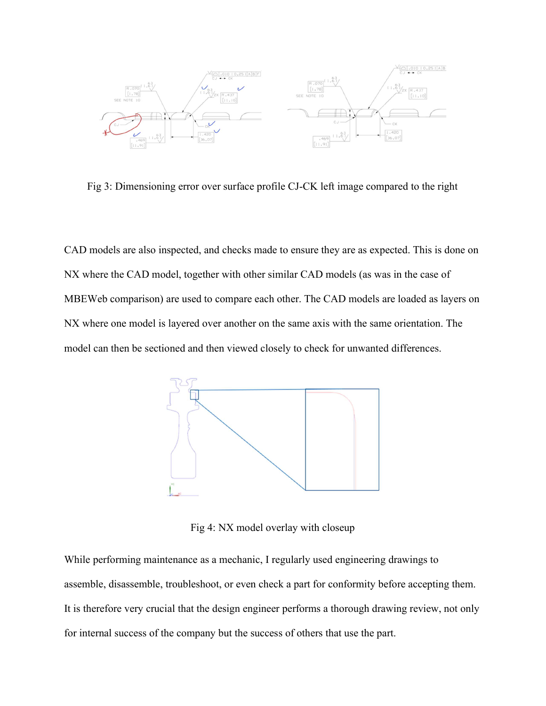

Fig 3: Dimensioning error over surface profile CJ-CK left image compared to the right

CAD models are also inspected, and checks made to ensure they are as expected. This is done on NX where the CAD model, together with other similar CAD models (as was in the case of MBEWeb comparison) are used to compare each other. The CAD models are loaded as layers on NX where one model is layered over another on the same axis with the same orientation. The model can then be sectioned and then viewed closely to check for unwanted differences.



Fig 4: NX model overlay with closeup

While performing maintenance as a mechanic, I regularly used engineering drawings to assemble, disassemble, troubleshoot, or even check a part for conformity before accepting them. It is therefore very crucial that the design engineer performs a thorough drawing review, not only for internal success of the company but the success of others that use the part.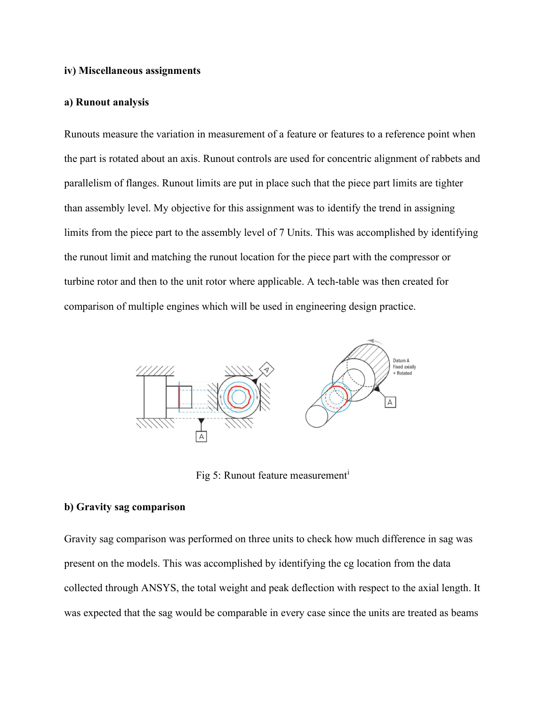#### iv) Miscellaneous assignments

#### a) Runout analysis

Runouts measure the variation in measurement of a feature or features to a reference point when the part is rotated about an axis. Runout controls are used for concentric alignment of rabbets and parallelism of flanges. Runout limits are put in place such that the piece part limits are tighter than assembly level. My objective for this assignment was to identify the trend in assigning limits from the piece part to the assembly level of 7 Units. This was accomplished by identifying the runout limit and matching the runout location for the piece part with the compressor or turbine rotor and then to the unit rotor where applicable. A tech-table was then created for comparison of multiple engines which will be used in engineering design practice.



Fig 5: Runout feature measurement<sup>i</sup>

#### b) Gravity sag comparison

Gravity sag comparison was performed on three units to check how much difference in sag was present on the models. This was accomplished by identifying the cg location from the data collected through ANSYS, the total weight and peak deflection with respect to the axial length. It was expected that the sag would be comparable in every case since the units are treated as beams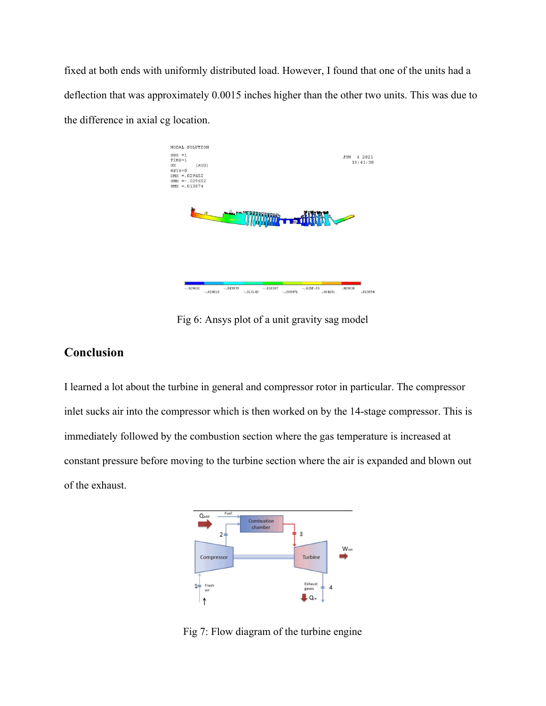fixed at both ends with uniformly distributed load. However, I found that one of the units had a deflection that was approximately 0.0015 inches higher than the other two units. This was due to the difference in axial cg location.



Fig 6: Ansys plot of a unit gravity sag model

# Conclusion

I learned a lot about the turbine in general and compressor rotor in particular. The compressor inlet sucks air into the compressor which is then worked on by the 14-stage compressor. This is immediately followed by the combustion section where the gas temperature is increased at constant pressure before moving to the turbine section where the air is expanded and blown out of the exhaust.



Fig 7: Flow diagram of the turbine engine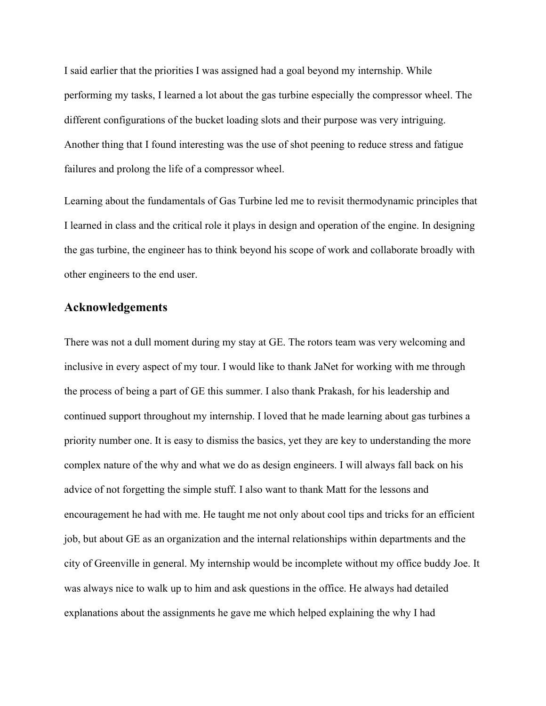I said earlier that the priorities I was assigned had a goal beyond my internship. While performing my tasks, I learned a lot about the gas turbine especially the compressor wheel. The different configurations of the bucket loading slots and their purpose was very intriguing. Another thing that I found interesting was the use of shot peening to reduce stress and fatigue failures and prolong the life of a compressor wheel.

Learning about the fundamentals of Gas Turbine led me to revisit thermodynamic principles that I learned in class and the critical role it plays in design and operation of the engine. In designing the gas turbine, the engineer has to think beyond his scope of work and collaborate broadly with other engineers to the end user.

## Acknowledgements

There was not a dull moment during my stay at GE. The rotors team was very welcoming and inclusive in every aspect of my tour. I would like to thank JaNet for working with me through the process of being a part of GE this summer. I also thank Prakash, for his leadership and continued support throughout my internship. I loved that he made learning about gas turbines a priority number one. It is easy to dismiss the basics, yet they are key to understanding the more complex nature of the why and what we do as design engineers. I will always fall back on his advice of not forgetting the simple stuff. I also want to thank Matt for the lessons and encouragement he had with me. He taught me not only about cool tips and tricks for an efficient job, but about GE as an organization and the internal relationships within departments and the city of Greenville in general. My internship would be incomplete without my office buddy Joe. It was always nice to walk up to him and ask questions in the office. He always had detailed explanations about the assignments he gave me which helped explaining the why I had